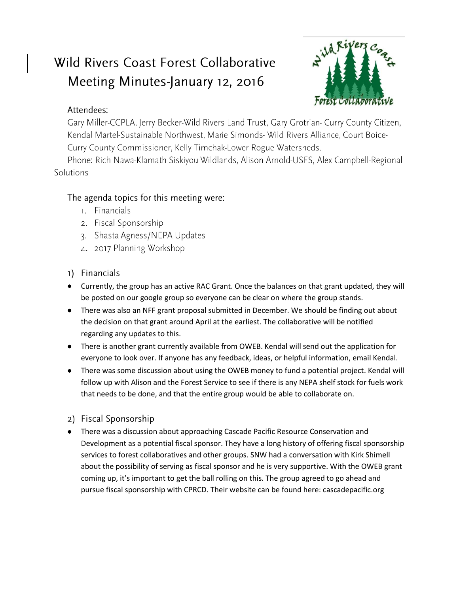# Wild Rivers Coast Forest Collaborative Meeting Minutes-January 12, 2016



## Attendees:

Gary Miller-CCPLA, Jerry Becker-Wild Rivers Land Trust, Gary Grotrian- Curry County Citizen, Kendal Martel-Sustainable Northwest, Marie Simonds- Wild Rivers Alliance, Court Boice-Curry County Commissioner, Kelly Timchak-Lower Rogue Watersheds.

Phone: Rich Nawa-Klamath Siskiyou Wildlands, Alison Arnold-USFS, Alex Campbell-Regional Solutions

## The agenda topics for this meeting were:

- 1. Financials
- 2. Fiscal Sponsorship
- 3. Shasta Agness/NEPA Updates
- 4. 2017 Planning Workshop
- 1) Financials
- Currently, the group has an active RAC Grant. Once the balances on that grant updated, they will be posted on our google group so everyone can be clear on where the group stands.
- There was also an NFF grant proposal submitted in December. We should be finding out about the decision on that grant around April at the earliest. The collaborative will be notified regarding any updates to this.
- There is another grant currently available from OWEB. Kendal will send out the application for everyone to look over. If anyone has any feedback, ideas, or helpful information, email Kendal.
- There was some discussion about using the OWEB money to fund a potential project. Kendal will follow up with Alison and the Forest Service to see if there is any NEPA shelf stock for fuels work that needs to be done, and that the entire group would be able to collaborate on.
- 2) Fiscal Sponsorship
- There was a discussion about approaching Cascade Pacific Resource Conservation and Development as a potential fiscal sponsor. They have a long history of offering fiscal sponsorship services to forest collaboratives and other groups. SNW had a conversation with Kirk Shimell about the possibility of serving as fiscal sponsor and he is very supportive. With the OWEB grant coming up, it's important to get the ball rolling on this. The group agreed to go ahead and pursue fiscal sponsorship with CPRCD. Their website can be found here: cascadepacific.org